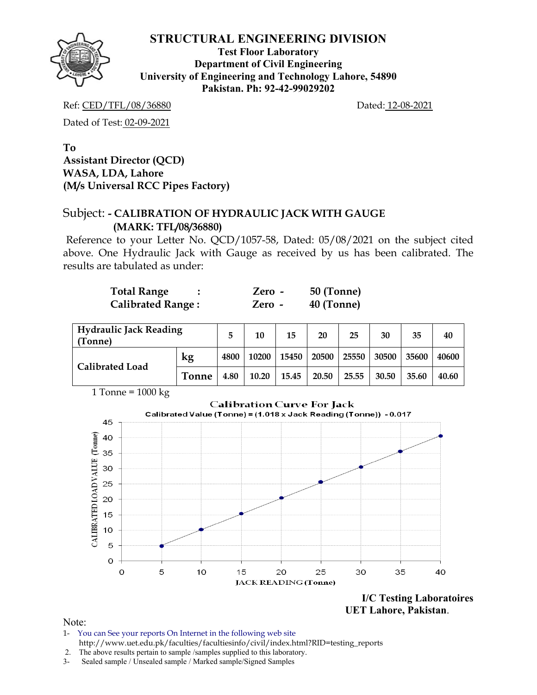

**Test Floor Laboratory Department of Civil Engineering University of Engineering and Technology Lahore, 54890 Pakistan. Ph: 92-42-99029202** 

Ref: CED/TFL/08/36880 Dated: 12-08-2021

Dated of Test: 02-09-2021

**To Assistant Director (QCD) WASA, LDA, Lahore (M/s Universal RCC Pipes Factory)** 

# Subject: **- CALIBRATION OF HYDRAULIC JACK WITH GAUGE (MARK: TFL/08/36880)**

Reference to your Letter No. QCD/1057-58, Dated: 05/08/2021 on the subject cited above. One Hydraulic Jack with Gauge as received by us has been calibrated. The results are tabulated as under:

| <b>Total Range</b>       | $Zero -$ | 50 (Tonne) |
|--------------------------|----------|------------|
| <b>Calibrated Range:</b> | Zero -   | 40 (Tonne) |

| <b>Hydraulic Jack Reading</b><br>(Tonne) |       | 5    | 10    | 15    | 20    | 25    | 30    | 35    | 40    |
|------------------------------------------|-------|------|-------|-------|-------|-------|-------|-------|-------|
| <b>Calibrated Load</b>                   | kg    | 4800 | 10200 | 15450 | 20500 | 25550 | 30500 | 35600 | 40600 |
|                                          | Tonne | 4.80 | 10.20 | 15.45 | 20.50 | 25.55 | 30.50 | 35.60 | 40.60 |



**I/C Testing Laboratoires UET Lahore, Pakistan**.

- 1- You can See your reports On Internet in the following web site http://www.uet.edu.pk/faculties/facultiesinfo/civil/index.html?RID=testing\_reports
- 2. The above results pertain to sample /samples supplied to this laboratory.
- 3- Sealed sample / Unsealed sample / Marked sample/Signed Samples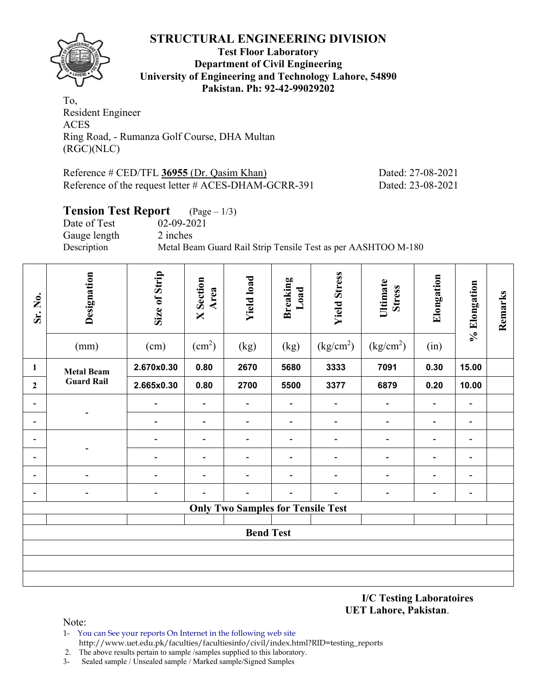![](_page_1_Picture_1.jpeg)

**Test Floor Laboratory Department of Civil Engineering University of Engineering and Technology Lahore, 54890 Pakistan. Ph: 92-42-99029202** 

To, Resident Engineer ACES Ring Road, - Rumanza Golf Course, DHA Multan (RGC)(NLC)

| Reference # CED/TFL 36955 (Dr. Qasim Khan)              | Dated: 27-08-2021 |
|---------------------------------------------------------|-------------------|
| Reference of the request letter $\#$ ACES-DHAM-GCRR-391 | Dated: 23-08-2021 |

# **Tension Test Report** (Page – 1/3)

Date of Test 02-09-2021 Gauge length 2 inches<br>Description Metal Bea

Metal Beam Guard Rail Strip Tensile Test as per AASHTOO M-180

| Sr. No.                  | Designation<br>(mm) | Size of Strip<br>(cm)    | <b>X</b> Section<br>Area<br>(cm <sup>2</sup> ) | <b>Yield load</b><br>(kg)                | <b>Breaking</b><br>Load<br>(kg) | <b>Yield Stress</b><br>(kg/cm <sup>2</sup> ) | Ultimate<br><b>Stress</b><br>(kg/cm <sup>2</sup> ) | Elongation<br>(in)       | % Elongation             | Remarks |
|--------------------------|---------------------|--------------------------|------------------------------------------------|------------------------------------------|---------------------------------|----------------------------------------------|----------------------------------------------------|--------------------------|--------------------------|---------|
| 1                        | <b>Metal Beam</b>   | 2.670x0.30               | 0.80                                           | 2670                                     | 5680                            | 3333                                         | 7091                                               | 0.30                     | 15.00                    |         |
| $\overline{2}$           | <b>Guard Rail</b>   | 2.665x0.30               | 0.80                                           | 2700                                     | 5500                            | 3377                                         | 6879                                               | 0.20                     | 10.00                    |         |
| $\overline{\phantom{a}}$ |                     | $\blacksquare$           | $\qquad \qquad \blacksquare$                   | $\blacksquare$                           | $\overline{\phantom{a}}$        | $\overline{\phantom{a}}$                     | $\overline{\phantom{0}}$                           | $\overline{\phantom{a}}$ | $\overline{\phantom{a}}$ |         |
| $\overline{\phantom{a}}$ |                     | $\overline{\phantom{0}}$ | $\qquad \qquad \blacksquare$                   | $\overline{\phantom{a}}$                 | $\overline{\phantom{a}}$        | $\overline{\phantom{a}}$                     | $\overline{\phantom{0}}$                           | $\blacksquare$           | $\overline{\phantom{a}}$ |         |
| $\blacksquare$           |                     |                          | $\overline{\phantom{a}}$                       | $\overline{\phantom{a}}$                 | $\blacksquare$                  | $\qquad \qquad \blacksquare$                 | $\qquad \qquad \blacksquare$                       | $\overline{\phantom{a}}$ | $\blacksquare$           |         |
| $\overline{\phantom{a}}$ |                     |                          | $\qquad \qquad \blacksquare$                   | $\overline{a}$                           | $\overline{\phantom{a}}$        |                                              | $\qquad \qquad \blacksquare$                       | $\overline{\phantom{a}}$ | $\overline{\phantom{a}}$ |         |
|                          |                     |                          | $\qquad \qquad \blacksquare$                   |                                          | $\overline{\phantom{0}}$        | ٠                                            | $\qquad \qquad \blacksquare$                       | $\overline{\phantom{a}}$ | $\overline{a}$           |         |
|                          |                     |                          |                                                |                                          |                                 |                                              | $\qquad \qquad \blacksquare$                       | $\overline{\phantom{0}}$ | $\overline{\phantom{0}}$ |         |
|                          |                     |                          |                                                | <b>Only Two Samples for Tensile Test</b> |                                 |                                              |                                                    |                          |                          |         |
|                          |                     |                          |                                                |                                          |                                 |                                              |                                                    |                          |                          |         |
|                          |                     |                          |                                                | <b>Bend Test</b>                         |                                 |                                              |                                                    |                          |                          |         |
|                          |                     |                          |                                                |                                          |                                 |                                              |                                                    |                          |                          |         |
|                          |                     |                          |                                                |                                          |                                 |                                              |                                                    |                          |                          |         |
|                          |                     |                          |                                                |                                          |                                 |                                              |                                                    |                          |                          |         |

**I/C Testing Laboratoires UET Lahore, Pakistan**.

- 1- You can See your reports On Internet in the following web site http://www.uet.edu.pk/faculties/facultiesinfo/civil/index.html?RID=testing\_reports
- 2. The above results pertain to sample /samples supplied to this laboratory.
- 3- Sealed sample / Unsealed sample / Marked sample/Signed Samples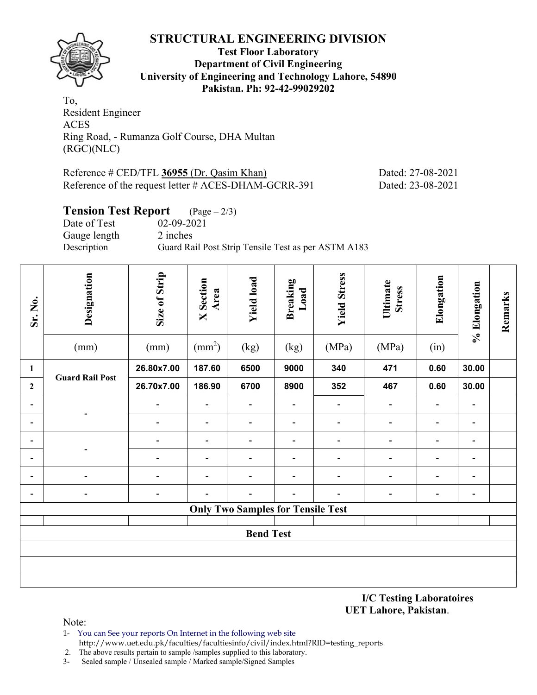![](_page_2_Picture_1.jpeg)

**Test Floor Laboratory Department of Civil Engineering University of Engineering and Technology Lahore, 54890 Pakistan. Ph: 92-42-99029202** 

To, Resident Engineer ACES Ring Road, - Rumanza Golf Course, DHA Multan (RGC)(NLC)

| Reference # CED/TFL 36955 (Dr. Qasim Khan)           | Dated: 27-08-2021 |
|------------------------------------------------------|-------------------|
| Reference of the request letter # ACES-DHAM-GCRR-391 | Dated: 23-08-2021 |

# **Tension Test Report** (Page – 2/3) Date of Test 02-09-2021

Gauge length 2 inches<br>Description Guard Ra Guard Rail Post Strip Tensile Test as per ASTM A183

| Sr. No.        | Designation              | Size of Strip            | <b>X</b> Section<br>Area     | <b>Yield load</b>                        | <b>Breaking</b><br>Load      | <b>Yield Stress</b>          | Ultimate<br><b>Stress</b>    | Elongation               | % Elongation                 | Remarks |
|----------------|--------------------------|--------------------------|------------------------------|------------------------------------------|------------------------------|------------------------------|------------------------------|--------------------------|------------------------------|---------|
|                | (mm)                     | (mm)                     | $\text{(mm}^2)$              | (kg)                                     | (kg)                         | (MPa)                        | (MPa)                        | (in)                     |                              |         |
| $\mathbf{1}$   | <b>Guard Rail Post</b>   | 26.80x7.00               | 187.60                       | 6500                                     | 9000                         | 340                          | 471                          | 0.60                     | 30.00                        |         |
| $\overline{2}$ |                          | 26.70x7.00               | 186.90                       | 6700                                     | 8900                         | 352                          | 467                          | 0.60                     | 30.00                        |         |
| -              |                          | $\overline{\phantom{a}}$ | $\overline{\phantom{a}}$     | $\overline{\phantom{a}}$                 | $\overline{\phantom{a}}$     | $\overline{\phantom{a}}$     | $\blacksquare$               | $\blacksquare$           | $\overline{\phantom{a}}$     |         |
| -              |                          | $\overline{\phantom{a}}$ | $\overline{\phantom{a}}$     | $\overline{\phantom{a}}$                 | $\qquad \qquad \blacksquare$ | $\qquad \qquad \blacksquare$ | $\overline{\phantom{a}}$     | $\overline{\phantom{a}}$ | $\blacksquare$               |         |
| -              |                          | $\overline{\phantom{a}}$ | $\blacksquare$               | $\overline{\phantom{a}}$                 | $\overline{\phantom{a}}$     | $\qquad \qquad \blacksquare$ | $\qquad \qquad \blacksquare$ | $\blacksquare$           | $\overline{\phantom{a}}$     |         |
| -              |                          | $\overline{\phantom{0}}$ | $\qquad \qquad \blacksquare$ | $\qquad \qquad \blacksquare$             | $\qquad \qquad \blacksquare$ | $\qquad \qquad \blacksquare$ | $\overline{\phantom{0}}$     | $\blacksquare$           | $\qquad \qquad \blacksquare$ |         |
| -              |                          | $\blacksquare$           | $\qquad \qquad \blacksquare$ | $\qquad \qquad \blacksquare$             | $\overline{\phantom{a}}$     | $\qquad \qquad \blacksquare$ | $\overline{\phantom{0}}$     | $\blacksquare$           | $\blacksquare$               |         |
| -              | $\overline{\phantom{0}}$ | $\blacksquare$           | $\overline{\phantom{0}}$     | $\overline{\phantom{a}}$                 | $\overline{\phantom{a}}$     | $\qquad \qquad \blacksquare$ | $\qquad \qquad \blacksquare$ | $\blacksquare$           | $\blacksquare$               |         |
|                |                          |                          |                              | <b>Only Two Samples for Tensile Test</b> |                              |                              |                              |                          |                              |         |
|                |                          |                          |                              |                                          |                              |                              |                              |                          |                              |         |
|                |                          |                          |                              | <b>Bend Test</b>                         |                              |                              |                              |                          |                              |         |
|                |                          |                          |                              |                                          |                              |                              |                              |                          |                              |         |
|                |                          |                          |                              |                                          |                              |                              |                              |                          |                              |         |
|                |                          |                          |                              |                                          |                              |                              |                              |                          |                              |         |

**I/C Testing Laboratoires UET Lahore, Pakistan**.

Note:

1- You can See your reports On Internet in the following web site http://www.uet.edu.pk/faculties/facultiesinfo/civil/index.html?RID=testing\_reports

2. The above results pertain to sample /samples supplied to this laboratory.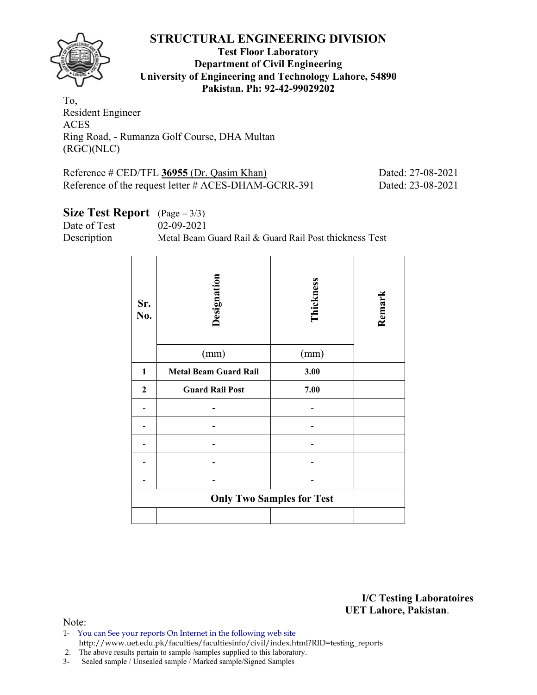![](_page_3_Picture_1.jpeg)

### **Test Floor Laboratory Department of Civil Engineering University of Engineering and Technology Lahore, 54890 Pakistan. Ph: 92-42-99029202**

To, Resident Engineer ACES Ring Road, - Rumanza Golf Course, DHA Multan (RGC)(NLC)

| Reference $\#$ CED/TFL 36955 (Dr. Qasim Khan)        | Dated: 27-08-2021 |
|------------------------------------------------------|-------------------|
| Reference of the request letter # ACES-DHAM-GCRR-391 | Dated: 23-08-2021 |

# **Size Test Report** (Page – 3/3)

Date of Test 02-09-2021

Description Metal Beam Guard Rail & Guard Rail Post thickness Test

| Sr.<br>No.       | Designation<br>(mm)          | Thickness<br>(mm)                | Remark |
|------------------|------------------------------|----------------------------------|--------|
|                  |                              |                                  |        |
| 1                | <b>Metal Beam Guard Rail</b> | 3.00                             |        |
| $\boldsymbol{2}$ | <b>Guard Rail Post</b>       | 7.00                             |        |
|                  |                              |                                  |        |
|                  |                              |                                  |        |
|                  |                              |                                  |        |
|                  |                              |                                  |        |
|                  |                              |                                  |        |
|                  |                              | <b>Only Two Samples for Test</b> |        |
|                  |                              |                                  |        |

**I/C Testing Laboratoires UET Lahore, Pakistan**.

- 1- You can See your reports On Internet in the following web site http://www.uet.edu.pk/faculties/facultiesinfo/civil/index.html?RID=testing\_reports
- 2. The above results pertain to sample /samples supplied to this laboratory.
- 3- Sealed sample / Unsealed sample / Marked sample/Signed Samples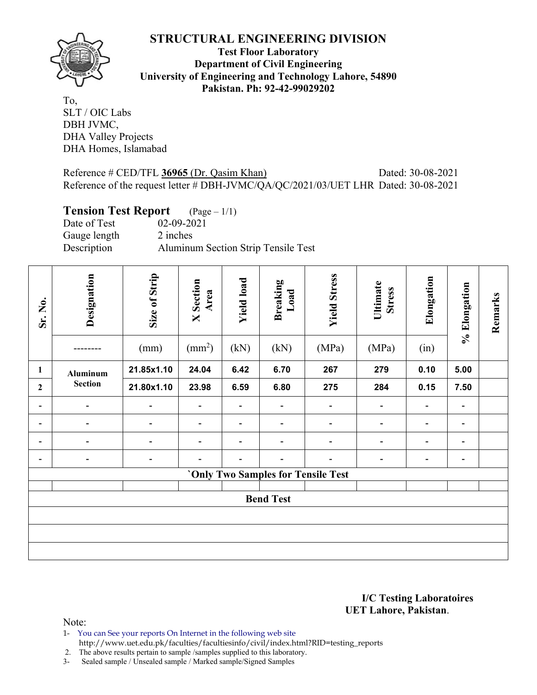![](_page_4_Picture_1.jpeg)

**Test Floor Laboratory Department of Civil Engineering University of Engineering and Technology Lahore, 54890 Pakistan. Ph: 92-42-99029202** 

To, SLT / OIC Labs DBH JVMC, DHA Valley Projects DHA Homes, Islamabad

### Reference # CED/TFL 36965 (Dr. Qasim Khan) Dated: 30-08-2021 Reference of the request letter # DBH-JVMC/QA/QC/2021/03/UET LHR Dated: 30-08-2021

# **Tension Test Report** (Page – 1/1)

Date of Test 02-09-2021 Gauge length 2 inches Description Aluminum Section Strip Tensile Test

| Sr. No.                  | Designation              | Size of Strip<br>(mm)    | <b>X</b> Section<br>Area<br>$\text{ (mm}^2\text{)}$ | <b>Yield load</b><br>(kN) | <b>Breaking</b><br>Load<br>(kN) | <b>Yield Stress</b><br>(MPa)              | Ultimate<br><b>Stress</b><br>(MPa) | Elongation<br>(in)           | % Elongation                 | Remarks |
|--------------------------|--------------------------|--------------------------|-----------------------------------------------------|---------------------------|---------------------------------|-------------------------------------------|------------------------------------|------------------------------|------------------------------|---------|
| 1                        | Aluminum                 | 21.85x1.10               | 24.04                                               | 6.42                      | 6.70                            | 267                                       | 279                                | 0.10                         | 5.00                         |         |
| $\mathbf{2}$             | <b>Section</b>           | 21.80x1.10               | 23.98                                               | 6.59                      | 6.80                            | 275                                       | 284                                | 0.15                         | 7.50                         |         |
| -                        | $\overline{\phantom{0}}$ |                          | $\blacksquare$                                      |                           | $\overline{a}$                  | $\qquad \qquad$                           | -                                  | $\qquad \qquad \blacksquare$ | $\blacksquare$               |         |
| -                        | $\blacksquare$           | $\overline{\phantom{a}}$ | $\overline{\phantom{a}}$                            | $\blacksquare$            | $\blacksquare$                  | $\overline{\phantom{a}}$                  | $\overline{\phantom{a}}$           | $\qquad \qquad$              | $\overline{\phantom{a}}$     |         |
| -                        |                          | ۰                        | $\overline{\phantom{a}}$                            | ۳                         | $\blacksquare$                  | $\overline{a}$                            | $\overline{\phantom{0}}$           | $\overline{a}$               | $\overline{\phantom{a}}$     |         |
| $\overline{\phantom{0}}$ | -                        | $\overline{\phantom{a}}$ |                                                     |                           | $\qquad \qquad$                 | $\overline{a}$                            | -                                  | $\qquad \qquad \blacksquare$ | $\qquad \qquad \blacksquare$ |         |
|                          |                          |                          |                                                     |                           |                                 | <b>'Only Two Samples for Tensile Test</b> |                                    |                              |                              |         |
|                          |                          |                          |                                                     |                           |                                 |                                           |                                    |                              |                              |         |
|                          | <b>Bend Test</b>         |                          |                                                     |                           |                                 |                                           |                                    |                              |                              |         |
|                          |                          |                          |                                                     |                           |                                 |                                           |                                    |                              |                              |         |
|                          |                          |                          |                                                     |                           |                                 |                                           |                                    |                              |                              |         |
|                          |                          |                          |                                                     |                           |                                 |                                           |                                    |                              |                              |         |

#### **I/C Testing Laboratoires UET Lahore, Pakistan**.

Note:

1- You can See your reports On Internet in the following web site http://www.uet.edu.pk/faculties/facultiesinfo/civil/index.html?RID=testing\_reports

2. The above results pertain to sample /samples supplied to this laboratory.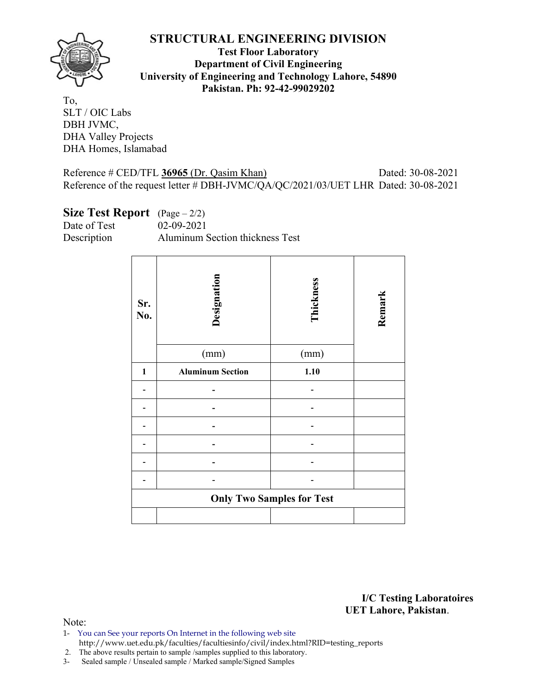![](_page_5_Picture_1.jpeg)

**Test Floor Laboratory Department of Civil Engineering University of Engineering and Technology Lahore, 54890 Pakistan. Ph: 92-42-99029202** 

To, SLT / OIC Labs DBH JVMC, DHA Valley Projects DHA Homes, Islamabad

Reference # CED/TFL **36965** (Dr. Qasim Khan) Dated: 30-08-2021 Reference of the request letter # DBH-JVMC/QA/QC/2021/03/UET LHR Dated: 30-08-2021

### **Size Test Report** (Page – 2/2)

Date of Test 02-09-2021 Description Aluminum Section thickness Test

| Sr.<br>No.   | Designation<br>(mm)     | Thickness<br>(mm)                | Remark |
|--------------|-------------------------|----------------------------------|--------|
| $\mathbf{1}$ | <b>Aluminum Section</b> | 1.10                             |        |
|              |                         |                                  |        |
|              |                         |                                  |        |
|              |                         |                                  |        |
|              |                         |                                  |        |
|              |                         |                                  |        |
|              |                         |                                  |        |
|              |                         |                                  |        |
|              |                         | <b>Only Two Samples for Test</b> |        |
|              |                         |                                  |        |

**I/C Testing Laboratoires UET Lahore, Pakistan**.

- 1- You can See your reports On Internet in the following web site http://www.uet.edu.pk/faculties/facultiesinfo/civil/index.html?RID=testing\_reports
- 2. The above results pertain to sample /samples supplied to this laboratory.
- 3- Sealed sample / Unsealed sample / Marked sample/Signed Samples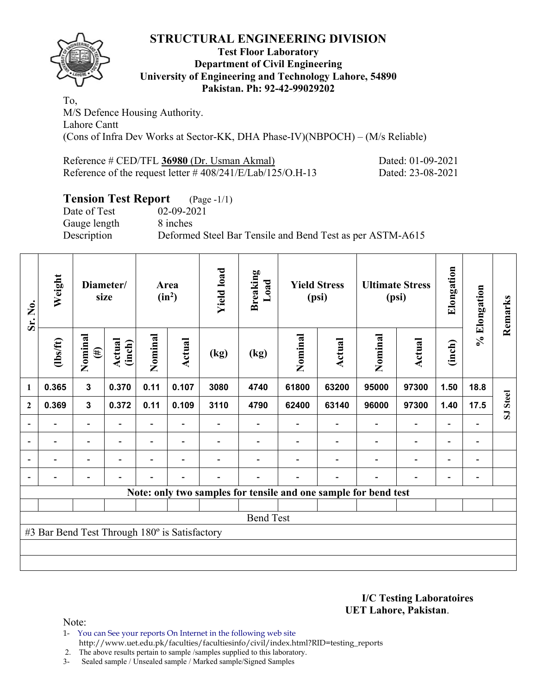![](_page_6_Picture_1.jpeg)

### **Test Floor Laboratory Department of Civil Engineering University of Engineering and Technology Lahore, 54890 Pakistan. Ph: 92-42-99029202**

To, M/S Defence Housing Authority. Lahore Cantt (Cons of Infra Dev Works at Sector-KK, DHA Phase-IV)(NBPOCH) – (M/s Reliable)

| Reference # CED/TFL 36980 (Dr. Usman Akmal)                   | Dated: 01-09-2021 |
|---------------------------------------------------------------|-------------------|
| Reference of the request letter $\# 408/241/E/Lab/125/O.H-13$ | Dated: 23-08-2021 |

# **Tension Test Report** (Page -1/1)

Date of Test 02-09-2021 Gauge length 8 inches

Description Deformed Steel Bar Tensile and Bend Test as per ASTM-A615

| Sr. No.                  | Weight                                        |                          | Diameter/<br>size |                          | Area<br>$(in^2)$ | <b>Yield load</b>        | <b>Breaking</b><br>Load |         | <b>Yield Stress</b><br>(psi)                                    |                          | <b>Ultimate Stress</b><br>(psi) | Elongation               | % Elongation                 | Remarks  |
|--------------------------|-----------------------------------------------|--------------------------|-------------------|--------------------------|------------------|--------------------------|-------------------------|---------|-----------------------------------------------------------------|--------------------------|---------------------------------|--------------------------|------------------------------|----------|
|                          | (1bs/ft)                                      | Nominal<br>$(\#)$        | Actual<br>(inch)  | Nominal                  | <b>Actual</b>    | (kg)                     | (kg)                    | Nominal | Actual                                                          | Nominal                  | Actual                          | (inch)                   |                              |          |
| $\mathbf{1}$             | 0.365                                         | 3                        | 0.370             | 0.11                     | 0.107            | 3080                     | 4740                    | 61800   | 63200                                                           | 95000                    | 97300                           | 1.50                     | 18.8                         |          |
| $\mathbf{2}$             | 0.369                                         | $\mathbf{3}$             | 0.372             | 0.11                     | 0.109            | 3110                     | 4790                    | 62400   | 63140                                                           | 96000                    | 97300                           | 1.40                     | 17.5                         | SJ Steel |
| $\overline{a}$           |                                               | -                        |                   |                          |                  |                          |                         |         |                                                                 |                          |                                 |                          |                              |          |
| $\overline{\phantom{a}}$ | $\overline{\phantom{a}}$                      | $\blacksquare$           | $\blacksquare$    | $\overline{\phantom{0}}$ | $\blacksquare$   |                          |                         |         |                                                                 | $\overline{\phantom{0}}$ | $\overline{\phantom{0}}$        | $\overline{\phantom{a}}$ | $\blacksquare$               |          |
| $\blacksquare$           | $\overline{\phantom{a}}$                      | $\overline{\phantom{0}}$ |                   | $\blacksquare$           | ۰                |                          |                         |         |                                                                 |                          | $\overline{\phantom{0}}$        | $\blacksquare$           | $\qquad \qquad \blacksquare$ |          |
|                          | -                                             | $\overline{\phantom{0}}$ |                   | $\blacksquare$           | ۰                | $\overline{\phantom{0}}$ |                         |         |                                                                 |                          | $\overline{\phantom{0}}$        | $\overline{\phantom{0}}$ | $\overline{a}$               |          |
|                          |                                               |                          |                   |                          |                  |                          |                         |         | Note: only two samples for tensile and one sample for bend test |                          |                                 |                          |                              |          |
|                          |                                               |                          |                   |                          |                  |                          |                         |         |                                                                 |                          |                                 |                          |                              |          |
|                          |                                               |                          |                   |                          |                  |                          | <b>Bend Test</b>        |         |                                                                 |                          |                                 |                          |                              |          |
|                          | #3 Bar Bend Test Through 180° is Satisfactory |                          |                   |                          |                  |                          |                         |         |                                                                 |                          |                                 |                          |                              |          |
|                          |                                               |                          |                   |                          |                  |                          |                         |         |                                                                 |                          |                                 |                          |                              |          |
|                          |                                               |                          |                   |                          |                  |                          |                         |         |                                                                 |                          |                                 |                          |                              |          |

**I/C Testing Laboratoires UET Lahore, Pakistan**.

Note:

1- You can See your reports On Internet in the following web site http://www.uet.edu.pk/faculties/facultiesinfo/civil/index.html?RID=testing\_reports

2. The above results pertain to sample /samples supplied to this laboratory.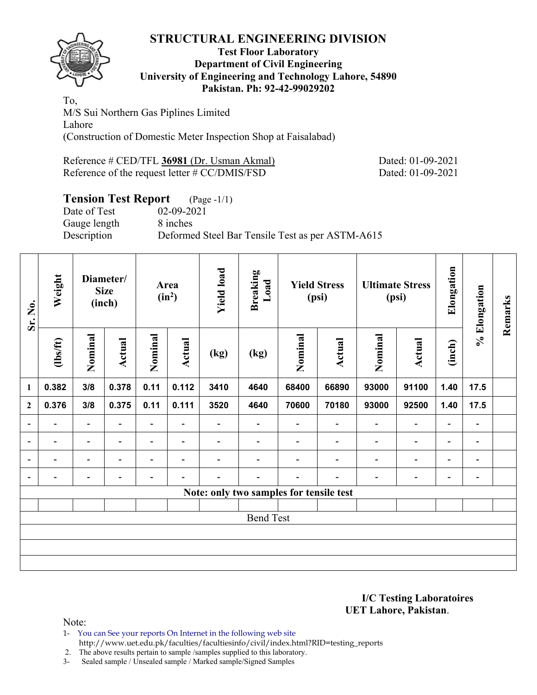![](_page_7_Picture_1.jpeg)

### **Test Floor Laboratory Department of Civil Engineering University of Engineering and Technology Lahore, 54890 Pakistan. Ph: 92-42-99029202**

To, M/S Sui Northern Gas Piplines Limited Lahore (Construction of Domestic Meter Inspection Shop at Faisalabad)

Reference # CED/TFL **36981** (Dr. Usman Akmal) Dated: 01-09-2021 Reference of the request letter # CC/DMIS/FSD Dated: 01-09-2021

# **Tension Test Report** (Page -1/1)

Date of Test 02-09-2021 Gauge length 8 inches Description Deformed Steel Bar Tensile Test as per ASTM-A615

| Sr. No.                  | Weight<br>Diameter/<br><b>Size</b><br>(inch) |                          |                          | Area<br>$(in^2)$         | <b>Yield load</b>        | <b>Breaking</b><br>Load  |                                         | <b>Yield Stress</b><br>(psi) |                          | <b>Ultimate Stress</b><br>(psi) | Elongation               | % Elongation             | Remarks        |  |
|--------------------------|----------------------------------------------|--------------------------|--------------------------|--------------------------|--------------------------|--------------------------|-----------------------------------------|------------------------------|--------------------------|---------------------------------|--------------------------|--------------------------|----------------|--|
|                          | (1bs/ft)                                     | Nominal                  | Actual                   | Nominal                  | Actual                   | (kg)                     | (kg)                                    | Nominal                      | Actual                   | Nominal                         | Actual                   | (inch)                   |                |  |
| 1                        | 0.382                                        | 3/8                      | 0.378                    | 0.11                     | 0.112                    | 3410                     | 4640                                    | 68400                        | 66890                    | 93000                           | 91100                    | 1.40                     | 17.5           |  |
| $\mathbf{2}$             | 0.376                                        | 3/8                      | 0.375                    | 0.11                     | 0.111                    | 3520                     | 4640                                    | 70600                        | 70180                    | 93000                           | 92500                    | 1.40                     | 17.5           |  |
| $\overline{\phantom{a}}$ | $\overline{\phantom{0}}$                     | $\overline{\phantom{a}}$ | $\blacksquare$           | Ξ.                       | $\blacksquare$           | $\overline{\phantom{0}}$ | $\qquad \qquad \blacksquare$            |                              | $\overline{\phantom{0}}$ | $\overline{\phantom{a}}$        | $\overline{\phantom{a}}$ | $\overline{\phantom{a}}$ |                |  |
| $\overline{a}$           | -                                            | $\overline{\phantom{a}}$ | $\overline{\phantom{0}}$ | $\overline{\phantom{0}}$ | $\overline{\phantom{a}}$ | $\overline{\phantom{0}}$ |                                         |                              | $\overline{\phantom{a}}$ | $\blacksquare$                  | $\blacksquare$           | $\overline{\phantom{a}}$ | $\blacksquare$ |  |
| $\overline{a}$           |                                              | -                        |                          | -                        | $\overline{\phantom{0}}$ |                          |                                         |                              |                          | ٠                               | -                        | -                        | -              |  |
| $\qquad \qquad$          |                                              | -                        |                          |                          |                          |                          |                                         |                              |                          |                                 | -                        | -                        | -              |  |
|                          |                                              |                          |                          |                          |                          |                          | Note: only two samples for tensile test |                              |                          |                                 |                          |                          |                |  |
|                          |                                              |                          |                          |                          |                          |                          |                                         |                              |                          |                                 |                          |                          |                |  |
|                          |                                              |                          |                          |                          |                          |                          | <b>Bend Test</b>                        |                              |                          |                                 |                          |                          |                |  |
|                          |                                              |                          |                          |                          |                          |                          |                                         |                              |                          |                                 |                          |                          |                |  |
|                          |                                              |                          |                          |                          |                          |                          |                                         |                              |                          |                                 |                          |                          |                |  |
|                          |                                              |                          |                          |                          |                          |                          |                                         |                              |                          |                                 |                          |                          |                |  |

**I/C Testing Laboratoires UET Lahore, Pakistan**.

Note:

1- You can See your reports On Internet in the following web site http://www.uet.edu.pk/faculties/facultiesinfo/civil/index.html?RID=testing\_reports

2. The above results pertain to sample /samples supplied to this laboratory.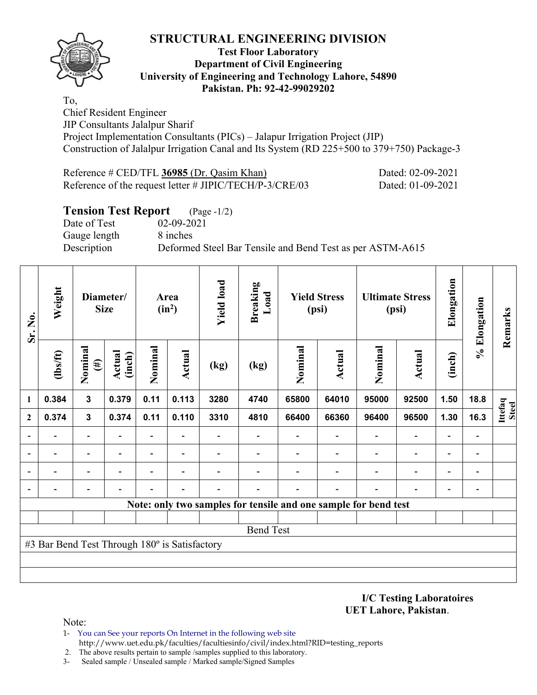![](_page_8_Picture_1.jpeg)

### **Test Floor Laboratory Department of Civil Engineering University of Engineering and Technology Lahore, 54890 Pakistan. Ph: 92-42-99029202**

To, Chief Resident Engineer JIP Consultants Jalalpur Sharif Project Implementation Consultants (PICs) – Jalapur Irrigation Project (JIP) Construction of Jalalpur Irrigation Canal and Its System (RD 225+500 to 379+750) Package-3

| Reference $\#$ CED/TFL 36985 (Dr. Qasim Khan)              | Dated: 02-09-2021 |
|------------------------------------------------------------|-------------------|
| Reference of the request letter $\#$ JIPIC/TECH/P-3/CRE/03 | Dated: 01-09-2021 |

# **Tension Test Report** (Page -1/2)

Date of Test 02-09-2021 Gauge length 8 inches

Description Deformed Steel Bar Tensile and Bend Test as per ASTM-A615

| Sr. No.      | Weight                                        | Diameter/<br><b>Size</b> |                          |                          |                          |      |                                                                 |         | Area<br>$(in^2)$         | <b>Yield load</b>        | <b>Breaking</b><br>Load  |                          | <b>Yield Stress</b><br>(psi) |                  | <b>Ultimate Stress</b><br>(psi) | Elongation | % Elongation | Remarks |
|--------------|-----------------------------------------------|--------------------------|--------------------------|--------------------------|--------------------------|------|-----------------------------------------------------------------|---------|--------------------------|--------------------------|--------------------------|--------------------------|------------------------------|------------------|---------------------------------|------------|--------------|---------|
|              | $\frac{2}{10}$                                | Nominal<br>$(\#)$        | Actual<br>(inch)         | Nominal                  | Actual                   | (kg) | (kg)                                                            | Nominal | Actual                   | Nominal                  | Actual                   | (inch)                   |                              |                  |                                 |            |              |         |
| 1            | 0.384                                         | $\mathbf{3}$             | 0.379                    | 0.11                     | 0.113                    | 3280 | 4740                                                            | 65800   | 64010                    | 95000                    | 92500                    | 1.50                     | 18.8                         |                  |                                 |            |              |         |
| $\mathbf{2}$ | 0.374                                         | 3                        | 0.374                    | 0.11                     | 0.110                    | 3310 | 4810                                                            | 66400   | 66360                    | 96400                    | 96500                    | 1.30                     | 16.3                         | Ittefaq<br>Steel |                                 |            |              |         |
|              |                                               | $\overline{\phantom{0}}$ |                          | $\overline{\phantom{a}}$ |                          |      | $\overline{\phantom{0}}$                                        |         | $\overline{\phantom{a}}$ | $\overline{\phantom{a}}$ | $\overline{a}$           | $\overline{\phantom{a}}$ |                              |                  |                                 |            |              |         |
|              |                                               | $\overline{\phantom{0}}$ | $\overline{\phantom{0}}$ | $\overline{\phantom{0}}$ | $\overline{\phantom{a}}$ |      |                                                                 |         |                          | $\overline{\phantom{0}}$ | $\overline{a}$           | $\overline{a}$           | $\qquad \qquad \blacksquare$ |                  |                                 |            |              |         |
|              |                                               |                          |                          |                          |                          |      |                                                                 |         |                          |                          | $\overline{\phantom{0}}$ | $\overline{\phantom{0}}$ | $\overline{\phantom{0}}$     |                  |                                 |            |              |         |
|              |                                               |                          |                          |                          |                          |      |                                                                 |         |                          |                          |                          |                          |                              |                  |                                 |            |              |         |
|              |                                               |                          |                          |                          |                          |      | Note: only two samples for tensile and one sample for bend test |         |                          |                          |                          |                          |                              |                  |                                 |            |              |         |
|              |                                               |                          |                          |                          |                          |      |                                                                 |         |                          |                          |                          |                          |                              |                  |                                 |            |              |         |
|              |                                               |                          |                          |                          |                          |      | <b>Bend Test</b>                                                |         |                          |                          |                          |                          |                              |                  |                                 |            |              |         |
|              | #3 Bar Bend Test Through 180° is Satisfactory |                          |                          |                          |                          |      |                                                                 |         |                          |                          |                          |                          |                              |                  |                                 |            |              |         |
|              |                                               |                          |                          |                          |                          |      |                                                                 |         |                          |                          |                          |                          |                              |                  |                                 |            |              |         |
|              |                                               |                          |                          |                          |                          |      |                                                                 |         |                          |                          |                          |                          |                              |                  |                                 |            |              |         |

**I/C Testing Laboratoires UET Lahore, Pakistan**.

- 1- You can See your reports On Internet in the following web site http://www.uet.edu.pk/faculties/facultiesinfo/civil/index.html?RID=testing\_reports
- 2. The above results pertain to sample /samples supplied to this laboratory.
- 3- Sealed sample / Unsealed sample / Marked sample/Signed Samples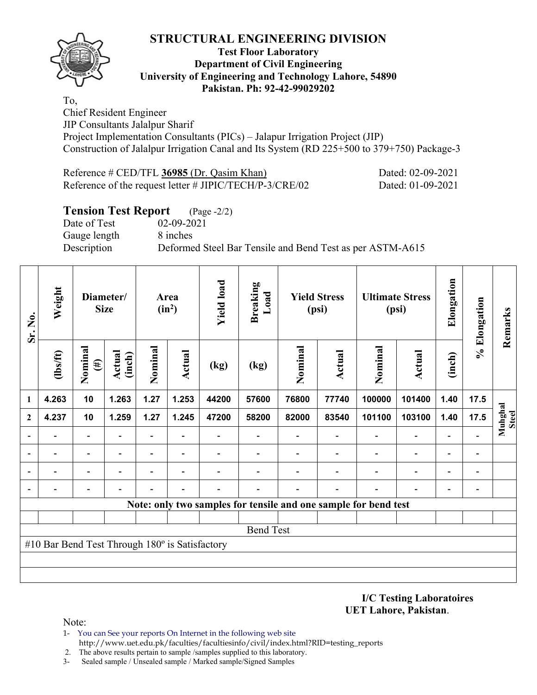![](_page_9_Picture_1.jpeg)

### **Test Floor Laboratory Department of Civil Engineering University of Engineering and Technology Lahore, 54890 Pakistan. Ph: 92-42-99029202**

To, Chief Resident Engineer JIP Consultants Jalalpur Sharif Project Implementation Consultants (PICs) – Jalapur Irrigation Project (JIP) Construction of Jalalpur Irrigation Canal and Its System (RD 225+500 to 379+750) Package-3

| Reference $\#$ CED/TFL 36985 (Dr. Qasim Khan)              | Dated: 02-09-2021 |
|------------------------------------------------------------|-------------------|
| Reference of the request letter $\#$ JIPIC/TECH/P-3/CRE/02 | Dated: 01-09-2021 |

# **Tension Test Report** (Page -2/2)

Date of Test 02-09-2021 Gauge length 8 inches

Description Deformed Steel Bar Tensile and Bend Test as per ASTM-A615

| Sr. No.      | Weight                                         | Diameter/<br><b>Size</b> |                  |                          | Area<br>$(in^2)$         | <b>Yield load</b> | <b>Breaking</b><br>Load      |         | <b>Yield Stress</b><br>(psi) |                                                                 | <b>Ultimate Stress</b><br>(psi) | Elongation               | % Elongation                 | Remarks                 |
|--------------|------------------------------------------------|--------------------------|------------------|--------------------------|--------------------------|-------------------|------------------------------|---------|------------------------------|-----------------------------------------------------------------|---------------------------------|--------------------------|------------------------------|-------------------------|
|              | (lbs/ft)                                       | Nominal<br>$(\#)$        | Actual<br>(inch) | Nominal                  | Actual                   | (kg)              | (kg)                         | Nominal | Actual                       | Nominal                                                         | Actual                          | (inch)                   |                              |                         |
| 1            | 4.263                                          | 10                       | 1.263            | 1.27                     | 1.253                    | 44200             | 57600                        | 76800   | 77740                        | 100000                                                          | 101400                          | 1.40                     | 17.5                         |                         |
| $\mathbf{2}$ | 4.237                                          | 10                       | 1.259            | 1.27                     | 1.245                    | 47200             | 58200                        | 82000   | 83540                        | 101100                                                          | 103100                          | 1.40                     | 17.5                         | Muhghal<br><b>Steel</b> |
|              |                                                | $\overline{\phantom{0}}$ |                  | Ξ.                       | $\overline{\phantom{a}}$ |                   | $\qquad \qquad \blacksquare$ |         | $\overline{\phantom{a}}$     |                                                                 | $\blacksquare$                  | $\overline{\phantom{0}}$ |                              |                         |
|              |                                                |                          |                  | $\qquad \qquad -$        |                          |                   |                              |         |                              |                                                                 | $\overline{a}$                  |                          | $\qquad \qquad \blacksquare$ |                         |
|              |                                                | ٠                        |                  | $\overline{\phantom{0}}$ | $\overline{\phantom{0}}$ |                   |                              |         |                              |                                                                 | $\overline{\phantom{0}}$        | $\overline{\phantom{0}}$ | -                            |                         |
|              |                                                |                          |                  |                          |                          |                   |                              |         |                              |                                                                 |                                 |                          | $\overline{a}$               |                         |
|              |                                                |                          |                  |                          |                          |                   |                              |         |                              | Note: only two samples for tensile and one sample for bend test |                                 |                          |                              |                         |
|              |                                                |                          |                  |                          |                          |                   |                              |         |                              |                                                                 |                                 |                          |                              |                         |
|              |                                                |                          |                  |                          |                          |                   | <b>Bend Test</b>             |         |                              |                                                                 |                                 |                          |                              |                         |
|              | #10 Bar Bend Test Through 180° is Satisfactory |                          |                  |                          |                          |                   |                              |         |                              |                                                                 |                                 |                          |                              |                         |
|              |                                                |                          |                  |                          |                          |                   |                              |         |                              |                                                                 |                                 |                          |                              |                         |
|              |                                                |                          |                  |                          |                          |                   |                              |         |                              |                                                                 |                                 |                          |                              |                         |

**I/C Testing Laboratoires UET Lahore, Pakistan**.

- 1- You can See your reports On Internet in the following web site http://www.uet.edu.pk/faculties/facultiesinfo/civil/index.html?RID=testing\_reports
- 2. The above results pertain to sample /samples supplied to this laboratory.
- 3- Sealed sample / Unsealed sample / Marked sample/Signed Samples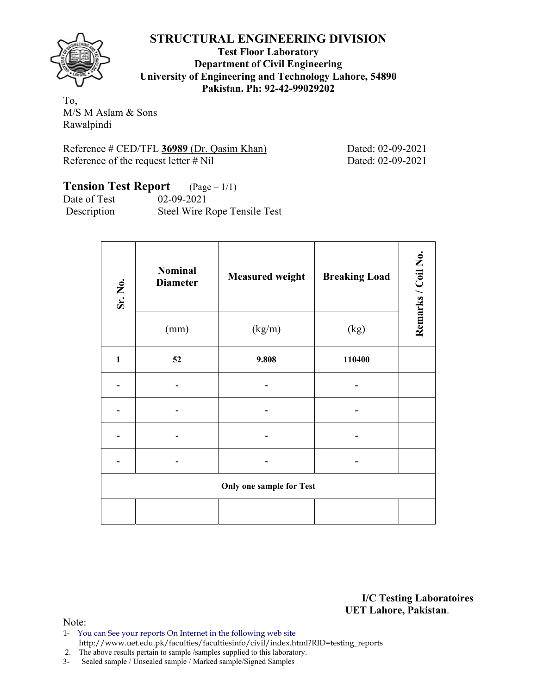![](_page_10_Picture_1.jpeg)

**Test Floor Laboratory Department of Civil Engineering University of Engineering and Technology Lahore, 54890 Pakistan. Ph: 92-42-99029202** 

To, M/S M Aslam & Sons Rawalpindi

| Reference # CED/TFL 36989 (Dr. Qasim Khan) |  |  |
|--------------------------------------------|--|--|
| Reference of the request letter $#$ Nil    |  |  |

Dated: 02-09-2021 Dated: 02-09-2021

## **Tension Test Report** (Page – 1/1) Date of Test 02-09-2021

Description Steel Wire Rope Tensile Test

| Sr. No.      | <b>Nominal</b><br><b>Diameter</b> | <b>Measured weight</b>          | <b>Breaking Load</b> | Remarks / Coil No. |
|--------------|-----------------------------------|---------------------------------|----------------------|--------------------|
|              | (mm)                              | (kg/m)                          | (kg)                 |                    |
| $\mathbf{1}$ | 52                                | 9.808                           | 110400               |                    |
|              |                                   |                                 |                      |                    |
|              |                                   |                                 |                      |                    |
|              |                                   |                                 |                      |                    |
|              |                                   |                                 |                      |                    |
|              |                                   | <b>Only one sample for Test</b> |                      |                    |
|              |                                   |                                 |                      |                    |

**I/C Testing Laboratoires UET Lahore, Pakistan**.

- 1- You can See your reports On Internet in the following web site http://www.uet.edu.pk/faculties/facultiesinfo/civil/index.html?RID=testing\_reports
- 2. The above results pertain to sample /samples supplied to this laboratory.
- 3- Sealed sample / Unsealed sample / Marked sample/Signed Samples